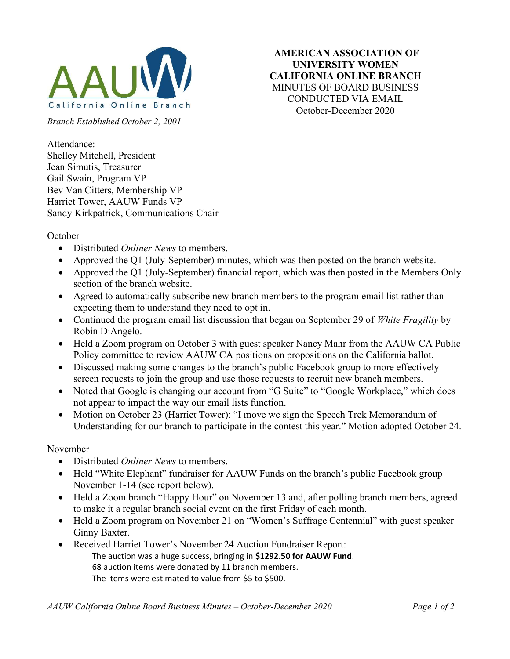

AMERICAN ASSOCIATION OF UNIVERSITY WOMEN CALIFORNIA ONLINE BRANCH MINUTES OF BOARD BUSINESS CONDUCTED VIA EMAIL October-December 2020

Branch Established October 2, 2001

Attendance: Shelley Mitchell, President Jean Simutis, Treasurer Gail Swain, Program VP Bev Van Citters, Membership VP Harriet Tower, AAUW Funds VP Sandy Kirkpatrick, Communications Chair

## October

- Distributed *Onliner News* to members.
- Approved the Q1 (July-September) minutes, which was then posted on the branch website.
- Approved the Q1 (July-September) financial report, which was then posted in the Members Only section of the branch website.
- Agreed to automatically subscribe new branch members to the program email list rather than expecting them to understand they need to opt in.
- Continued the program email list discussion that began on September 29 of White Fragility by Robin DiAngelo.
- Held a Zoom program on October 3 with guest speaker Nancy Mahr from the AAUW CA Public Policy committee to review AAUW CA positions on propositions on the California ballot.
- Discussed making some changes to the branch's public Facebook group to more effectively screen requests to join the group and use those requests to recruit new branch members.
- Noted that Google is changing our account from "G Suite" to "Google Workplace," which does not appear to impact the way our email lists function.
- Motion on October 23 (Harriet Tower): "I move we sign the Speech Trek Memorandum of Understanding for our branch to participate in the contest this year." Motion adopted October 24.

## November

- Distributed *Onliner News* to members.
- Held "White Elephant" fundraiser for AAUW Funds on the branch's public Facebook group November 1-14 (see report below).
- Held a Zoom branch "Happy Hour" on November 13 and, after polling branch members, agreed to make it a regular branch social event on the first Friday of each month.
- Held a Zoom program on November 21 on "Women's Suffrage Centennial" with guest speaker Ginny Baxter.
- Received Harriet Tower's November 24 Auction Fundraiser Report:
	- The auction was a huge success, bringing in \$1292.50 for AAUW Fund. 68 auction items were donated by 11 branch members.
		- The items were estimated to value from \$5 to \$500.

AAUW California Online Board Business Minutes – October-December 2020 Page 1 of 2